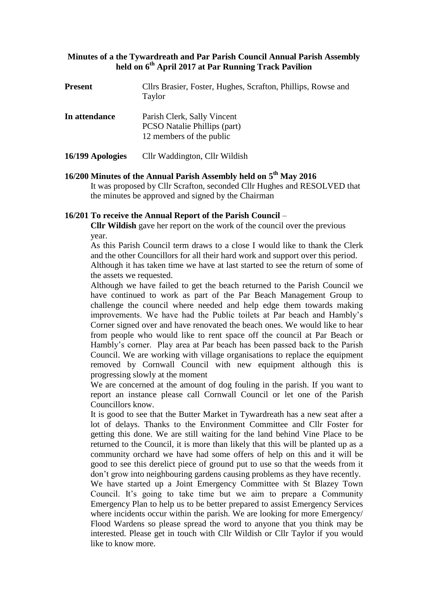# **Minutes of a the Tywardreath and Par Parish Council Annual Parish Assembly held on 6 th April 2017 at Par Running Track Pavilion**

| <b>Present</b>   | Cllrs Brasier, Foster, Hughes, Scrafton, Phillips, Rowse and<br>Taylor                         |
|------------------|------------------------------------------------------------------------------------------------|
| In attendance    | Parish Clerk, Sally Vincent<br><b>PCSO</b> Natalie Phillips (part)<br>12 members of the public |
| 16/199 Apologies | Cllr Waddington, Cllr Wildish                                                                  |

# **16/200 Minutes of the Annual Parish Assembly held on 5 th May 2016** It was proposed by Cllr Scrafton, seconded Cllr Hughes and RESOLVED that the minutes be approved and signed by the Chairman

# **16/201 To receive the Annual Report of the Parish Council** –

 **Cllr Wildish** gave her report on the work of the council over the previous year.

As this Parish Council term draws to a close I would like to thank the Clerk and the other Councillors for all their hard work and support over this period. Although it has taken time we have at last started to see the return of some of the assets we requested.

Although we have failed to get the beach returned to the Parish Council we have continued to work as part of the Par Beach Management Group to challenge the council where needed and help edge them towards making improvements. We have had the Public toilets at Par beach and Hambly's Corner signed over and have renovated the beach ones. We would like to hear from people who would like to rent space off the council at Par Beach or Hambly's corner. Play area at Par beach has been passed back to the Parish Council. We are working with village organisations to replace the equipment removed by Cornwall Council with new equipment although this is progressing slowly at the moment

We are concerned at the amount of dog fouling in the parish. If you want to report an instance please call Cornwall Council or let one of the Parish Councillors know.

It is good to see that the Butter Market in Tywardreath has a new seat after a lot of delays. Thanks to the Environment Committee and Cllr Foster for getting this done. We are still waiting for the land behind Vine Place to be returned to the Council, it is more than likely that this will be planted up as a community orchard we have had some offers of help on this and it will be good to see this derelict piece of ground put to use so that the weeds from it don't grow into neighbouring gardens causing problems as they have recently.

We have started up a Joint Emergency Committee with St Blazey Town Council. It's going to take time but we aim to prepare a Community Emergency Plan to help us to be better prepared to assist Emergency Services where incidents occur within the parish. We are looking for more Emergency/ Flood Wardens so please spread the word to anyone that you think may be interested. Please get in touch with Cllr Wildish or Cllr Taylor if you would like to know more.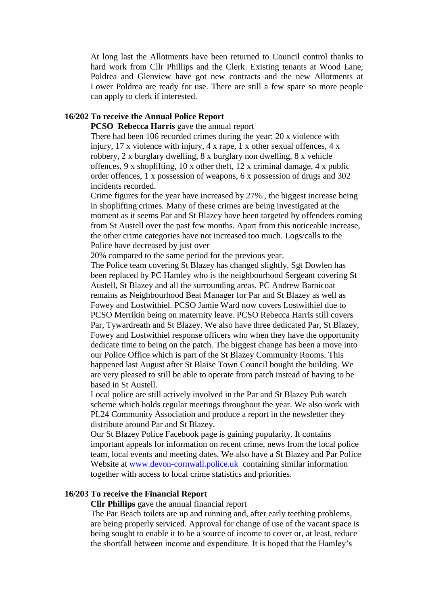At long last the Allotments have been returned to Council control thanks to hard work from Cllr Phillips and the Clerk. Existing tenants at Wood Lane, Poldrea and Glenview have got new contracts and the new Allotments at Lower Poldrea are ready for use. There are still a few spare so more people can apply to clerk if interested.

# **16/202 To receive the Annual Police Report**

**PCSO Rebecca Harris** gave the annual report

There had been 106 recorded crimes during the year: 20 x violence with injury,  $17 \times$  violence with injury,  $4 \times$  rape,  $1 \times$  other sexual offences,  $4 \times$ robbery, 2 x burglary dwelling, 8 x burglary non dwelling, 8 x vehicle offences, 9 x shoplifting, 10 x other theft, 12 x criminal damage, 4 x public order offences, 1 x possession of weapons, 6 x possession of drugs and 302 incidents recorded.

Crime figures for the year have increased by 27%., the biggest increase being in shoplifting crimes. Many of these crimes are being investigated at the moment as it seems Par and St Blazey have been targeted by offenders coming from St Austell over the past few months. Apart from this noticeable increase, the other crime categories have not increased too much. Logs/calls to the Police have decreased by just over

20% compared to the same period for the previous year.

The Police team covering St Blazey has changed slightly, Sgt Dowlen has been replaced by PC Hamley who is the neighbourhood Sergeant covering St Austell, St Blazey and all the surrounding areas. PC Andrew Barnicoat remains as Neighbourhood Beat Manager for Par and St Blazey as well as Fowey and Lostwithiel. PCSO Jamie Ward now covers Lostwithiel due to PCSO Merrikin being on maternity leave. PCSO Rebecca Harris still covers Par, Tywardreath and St Blazey. We also have three dedicated Par, St Blazey, Fowey and Lostwithiel response officers who when they have the opportunity dedicate time to being on the patch. The biggest change has been a move into our Police Office which is part of the St Blazey Community Rooms. This happened last August after St Blaise Town Council bought the building. We are very pleased to still be able to operate from patch instead of having to be based in St Austell.

Local police are still actively involved in the Par and St Blazey Pub watch scheme which holds regular meetings throughout the year. We also work with PL24 Community Association and produce a report in the newsletter they distribute around Par and St Blazey.

Our St Blazey Police Facebook page is gaining popularity. It contains important appeals for information on recent crime, news from the local police team, local events and meeting dates. We also have a St Blazey and Par Police Website at [www.devon-cornwall.police.uk](http://www.devon-cornwall.police.uk/) containing similar information together with access to local crime statistics and priorities.

# **16/203 To receive the Financial Report**

**Cllr Phillips** gave the annual financial report

The Par Beach toilets are up and running and, after early teething problems, are being properly serviced. Approval for change of use of the vacant space is being sought to enable it to be a source of income to cover or, at least, reduce the shortfall between income and expenditure. It is hoped that the Hamley's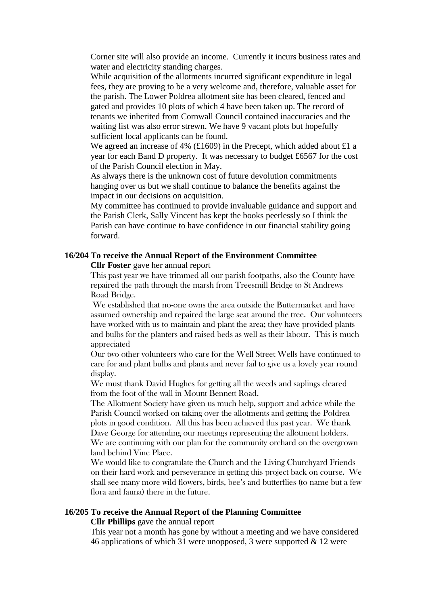Corner site will also provide an income. Currently it incurs business rates and water and electricity standing charges.

While acquisition of the allotments incurred significant expenditure in legal fees, they are proving to be a very welcome and, therefore, valuable asset for the parish. The Lower Poldrea allotment site has been cleared, fenced and gated and provides 10 plots of which 4 have been taken up. The record of tenants we inherited from Cornwall Council contained inaccuracies and the waiting list was also error strewn. We have 9 vacant plots but hopefully sufficient local applicants can be found.

We agreed an increase of 4% (£1609) in the Precept, which added about £1 a year for each Band D property. It was necessary to budget £6567 for the cost of the Parish Council election in May.

As always there is the unknown cost of future devolution commitments hanging over us but we shall continue to balance the benefits against the impact in our decisions on acquisition.

My committee has continued to provide invaluable guidance and support and the Parish Clerk, Sally Vincent has kept the books peerlessly so I think the Parish can have continue to have confidence in our financial stability going forward.

#### **16/204 To receive the Annual Report of the Environment Committee Cllr Foster** gave her annual report

This past year we have trimmed all our parish footpaths, also the County have repaired the path through the marsh from Treesmill Bridge to St Andrews Road Bridge.

We established that no-one owns the area outside the Buttermarket and have assumed ownership and repaired the large seat around the tree. Our volunteers have worked with us to maintain and plant the area; they have provided plants and bulbs for the planters and raised beds as well as their labour. This is much appreciated

Our two other volunteers who care for the Well Street Wells have continued to care for and plant bulbs and plants and never fail to give us a lovely year round display.

We must thank David Hughes for getting all the weeds and saplings cleared from the foot of the wall in Mount Bennett Road.

The Allotment Society have given us much help, support and advice while the Parish Council worked on taking over the allotments and getting the Poldrea plots in good condition. All this has been achieved this past year. We thank Dave George for attending our meetings representing the allotment holders.

We are continuing with our plan for the community orchard on the overgrown land behind Vine Place.

We would like to congratulate the Church and the Living Churchyard Friends on their hard work and perseverance in getting this project back on course. We shall see many more wild flowers, birds, bee's and butterflies (to name but a few flora and fauna) there in the future.

#### **16/205 To receive the Annual Report of the Planning Committee**

**Cllr Phillips** gave the annual report

This year not a month has gone by without a meeting and we have considered 46 applications of which 31 were unopposed, 3 were supported  $\&$  12 were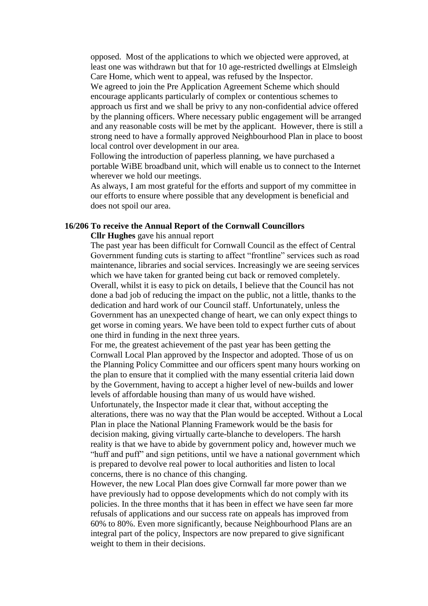opposed. Most of the applications to which we objected were approved, at least one was withdrawn but that for 10 age-restricted dwellings at Elmsleigh Care Home, which went to appeal, was refused by the Inspector.

We agreed to join the Pre Application Agreement Scheme which should encourage applicants particularly of complex or contentious schemes to approach us first and we shall be privy to any non-confidential advice offered by the planning officers. Where necessary public engagement will be arranged and any reasonable costs will be met by the applicant. However, there is still a strong need to have a formally approved Neighbourhood Plan in place to boost local control over development in our area.

Following the introduction of paperless planning, we have purchased a portable WiBE broadband unit, which will enable us to connect to the Internet wherever we hold our meetings.

As always, I am most grateful for the efforts and support of my committee in our efforts to ensure where possible that any development is beneficial and does not spoil our area.

# **16/206 To receive the Annual Report of the Cornwall Councillors**

## **Cllr Hughes** gave his annual report

The past year has been difficult for Cornwall Council as the effect of Central Government funding cuts is starting to affect "frontline" services such as road maintenance, libraries and social services. Increasingly we are seeing services which we have taken for granted being cut back or removed completely. Overall, whilst it is easy to pick on details, I believe that the Council has not done a bad job of reducing the impact on the public, not a little, thanks to the dedication and hard work of our Council staff. Unfortunately, unless the Government has an unexpected change of heart, we can only expect things to get worse in coming years. We have been told to expect further cuts of about one third in funding in the next three years.

For me, the greatest achievement of the past year has been getting the Cornwall Local Plan approved by the Inspector and adopted. Those of us on the Planning Policy Committee and our officers spent many hours working on the plan to ensure that it complied with the many essential criteria laid down by the Government, having to accept a higher level of new-builds and lower levels of affordable housing than many of us would have wished. Unfortunately, the Inspector made it clear that, without accepting the alterations, there was no way that the Plan would be accepted. Without a Local Plan in place the National Planning Framework would be the basis for decision making, giving virtually carte-blanche to developers. The harsh reality is that we have to abide by government policy and, however much we "huff and puff" and sign petitions, until we have a national government which is prepared to devolve real power to local authorities and listen to local concerns, there is no chance of this changing.

However, the new Local Plan does give Cornwall far more power than we have previously had to oppose developments which do not comply with its policies. In the three months that it has been in effect we have seen far more refusals of applications and our success rate on appeals has improved from 60% to 80%. Even more significantly, because Neighbourhood Plans are an integral part of the policy, Inspectors are now prepared to give significant weight to them in their decisions.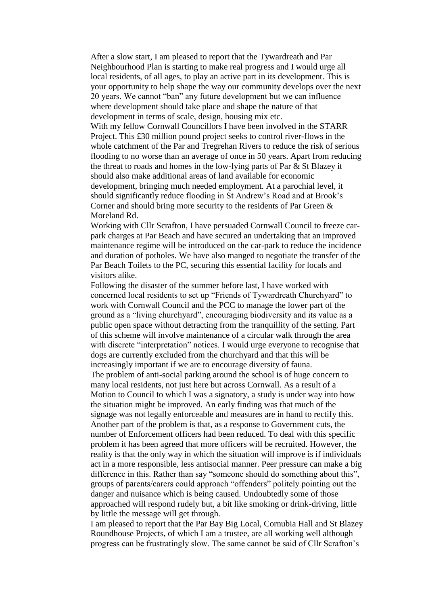After a slow start, I am pleased to report that the Tywardreath and Par Neighbourhood Plan is starting to make real progress and I would urge all local residents, of all ages, to play an active part in its development. This is your opportunity to help shape the way our community develops over the next 20 years. We cannot "ban" any future development but we can influence where development should take place and shape the nature of that development in terms of scale, design, housing mix etc.

With my fellow Cornwall Councillors I have been involved in the STARR Project. This £30 million pound project seeks to control river-flows in the whole catchment of the Par and Tregrehan Rivers to reduce the risk of serious flooding to no worse than an average of once in 50 years. Apart from reducing the threat to roads and homes in the low-lying parts of Par & St Blazey it should also make additional areas of land available for economic development, bringing much needed employment. At a parochial level, it should significantly reduce flooding in St Andrew's Road and at Brook's Corner and should bring more security to the residents of Par Green & Moreland Rd.

Working with Cllr Scrafton, I have persuaded Cornwall Council to freeze carpark charges at Par Beach and have secured an undertaking that an improved maintenance regime will be introduced on the car-park to reduce the incidence and duration of potholes. We have also manged to negotiate the transfer of the Par Beach Toilets to the PC, securing this essential facility for locals and visitors alike.

Following the disaster of the summer before last, I have worked with concerned local residents to set up "Friends of Tywardreath Churchyard" to work with Cornwall Council and the PCC to manage the lower part of the ground as a "living churchyard", encouraging biodiversity and its value as a public open space without detracting from the tranquillity of the setting. Part of this scheme will involve maintenance of a circular walk through the area with discrete "interpretation" notices. I would urge everyone to recognise that dogs are currently excluded from the churchyard and that this will be increasingly important if we are to encourage diversity of fauna. The problem of anti-social parking around the school is of huge concern to many local residents, not just here but across Cornwall. As a result of a Motion to Council to which I was a signatory, a study is under way into how the situation might be improved. An early finding was that much of the signage was not legally enforceable and measures are in hand to rectify this. Another part of the problem is that, as a response to Government cuts, the number of Enforcement officers had been reduced. To deal with this specific problem it has been agreed that more officers will be recruited. However, the reality is that the only way in which the situation will improve is if individuals act in a more responsible, less antisocial manner. Peer pressure can make a big difference in this. Rather than say "someone should do something about this", groups of parents/carers could approach "offenders" politely pointing out the danger and nuisance which is being caused. Undoubtedly some of those approached will respond rudely but, a bit like smoking or drink-driving, little by little the message will get through.

I am pleased to report that the Par Bay Big Local, Cornubia Hall and St Blazey Roundhouse Projects, of which I am a trustee, are all working well although progress can be frustratingly slow. The same cannot be said of Cllr Scrafton's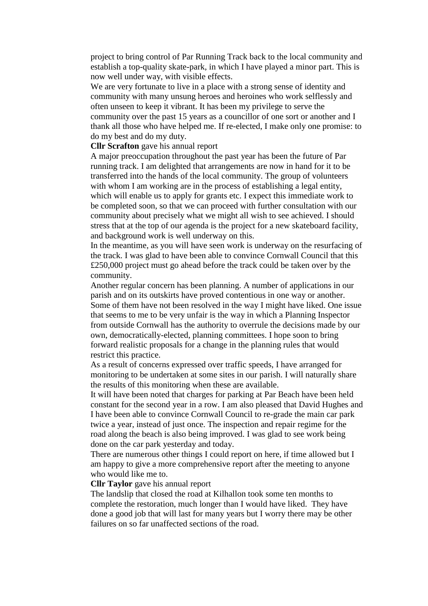project to bring control of Par Running Track back to the local community and establish a top-quality skate-park, in which I have played a minor part. This is now well under way, with visible effects.

We are very fortunate to live in a place with a strong sense of identity and community with many unsung heroes and heroines who work selflessly and often unseen to keep it vibrant. It has been my privilege to serve the community over the past 15 years as a councillor of one sort or another and I thank all those who have helped me. If re-elected, I make only one promise: to do my best and do my duty.

### **Cllr Scrafton** gave his annual report

A major preoccupation throughout the past year has been the future of Par running track. I am delighted that arrangements are now in hand for it to be transferred into the hands of the local community. The group of volunteers with whom I am working are in the process of establishing a legal entity, which will enable us to apply for grants etc. I expect this immediate work to be completed soon, so that we can proceed with further consultation with our community about precisely what we might all wish to see achieved. I should stress that at the top of our agenda is the project for a new skateboard facility, and background work is well underway on this.

In the meantime, as you will have seen work is underway on the resurfacing of the track. I was glad to have been able to convince Cornwall Council that this £250,000 project must go ahead before the track could be taken over by the community.

Another regular concern has been planning. A number of applications in our parish and on its outskirts have proved contentious in one way or another. Some of them have not been resolved in the way I might have liked. One issue that seems to me to be very unfair is the way in which a Planning Inspector from outside Cornwall has the authority to overrule the decisions made by our own, democratically-elected, planning committees. I hope soon to bring forward realistic proposals for a change in the planning rules that would restrict this practice.

As a result of concerns expressed over traffic speeds, I have arranged for monitoring to be undertaken at some sites in our parish. I will naturally share the results of this monitoring when these are available.

It will have been noted that charges for parking at Par Beach have been held constant for the second year in a row. I am also pleased that David Hughes and I have been able to convince Cornwall Council to re-grade the main car park twice a year, instead of just once. The inspection and repair regime for the road along the beach is also being improved. I was glad to see work being done on the car park yesterday and today.

There are numerous other things I could report on here, if time allowed but I am happy to give a more comprehensive report after the meeting to anyone who would like me to.

## **Cllr Taylor** gave his annual report

The landslip that closed the road at Kilhallon took some ten months to complete the restoration, much longer than I would have liked. They have done a good job that will last for many years but I worry there may be other failures on so far unaffected sections of the road.